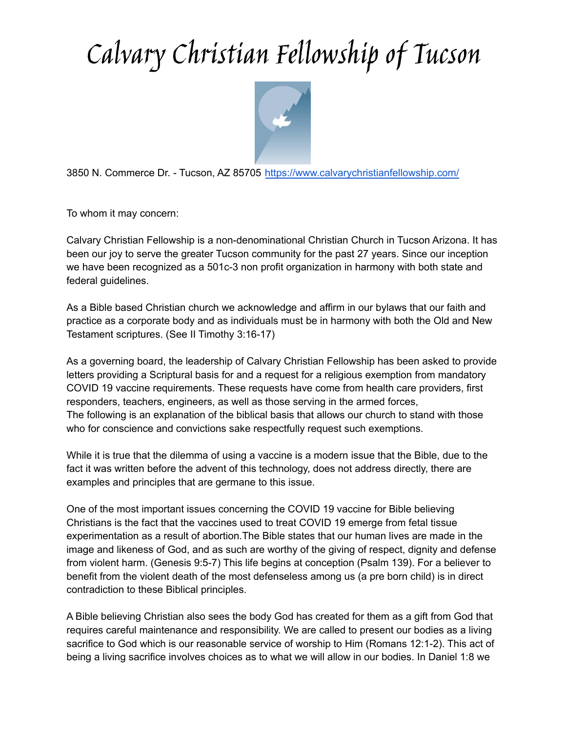## Calvary Christian Fellowship of Tucson



3850 N. Commerce Dr. - Tucson, AZ 85705 <https://www.calvarychristianfellowship.com/>

To whom it may concern:

Calvary Christian Fellowship is a non-denominational Christian Church in Tucson Arizona. It has been our joy to serve the greater Tucson community for the past 27 years. Since our inception we have been recognized as a 501c-3 non profit organization in harmony with both state and federal quidelines.

As a Bible based Christian church we acknowledge and affirm in our bylaws that our faith and practice as a corporate body and as individuals must be in harmony with both the Old and New Testament scriptures. (See II Timothy 3:16-17)

As a governing board, the leadership of Calvary Christian Fellowship has been asked to provide letters providing a Scriptural basis for and a request for a religious exemption from mandatory COVID 19 vaccine requirements. These requests have come from health care providers, first responders, teachers, engineers, as well as those serving in the armed forces, The following is an explanation of the biblical basis that allows our church to stand with those who for conscience and convictions sake respectfully request such exemptions.

While it is true that the dilemma of using a vaccine is a modern issue that the Bible, due to the fact it was written before the advent of this technology, does not address directly, there are examples and principles that are germane to this issue.

One of the most important issues concerning the COVID 19 vaccine for Bible believing Christians is the fact that the vaccines used to treat COVID 19 emerge from fetal tissue experimentation as a result of abortion.The Bible states that our human lives are made in the image and likeness of God, and as such are worthy of the giving of respect, dignity and defense from violent harm. (Genesis 9:5-7) This life begins at conception (Psalm 139). For a believer to benefit from the violent death of the most defenseless among us (a pre born child) is in direct contradiction to these Biblical principles.

A Bible believing Christian also sees the body God has created for them as a gift from God that requires careful maintenance and responsibility. We are called to present our bodies as a living sacrifice to God which is our reasonable service of worship to Him (Romans 12:1-2). This act of being a living sacrifice involves choices as to what we will allow in our bodies. In Daniel 1:8 we